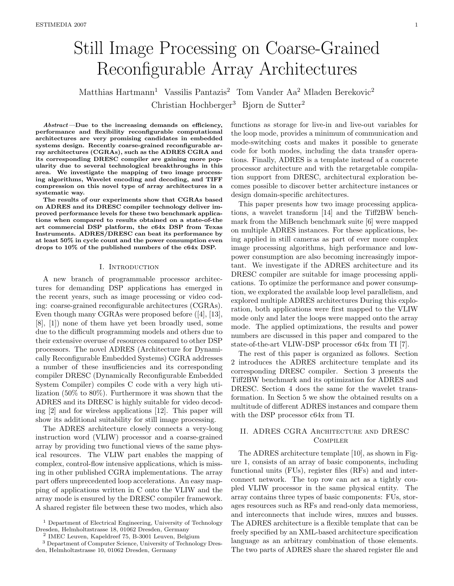# Still Image Processing on Coarse-Grained Reconfigurable Array Architectures

Matthias Hartmann<sup>1</sup> Vassilis Pantazis<sup>2</sup> Tom Vander Aa<sup>2</sup> Mladen Berekovic<sup>2</sup> Christian Hochberger<sup>3</sup> Bjorn de Sutter<sup>2</sup>

Abstract—Due to the increasing demands on efficiency, performance and flexibility reconfigurable computational architectures are very promising candidates in embedded systems design. Recently coarse-grained reconfigurable array architectures (CGRAs), such as the ADRES CGRA and its corresponding DRESC compiler are gaining more popularity due to several technological breakthroughs in this area. We investigate the mapping of two image processing algorithms, Wavelet encoding and decoding, and TIFF compression on this novel type of array architectures in a systematic way.

The results of our experiments show that CGRAs based on ADRES and its DRESC compiler technology deliver improved performance levels for these two benchmark applications when compared to results obtained on a state-of-the art commercial DSP platform, the c64x DSP from Texas Instruments. ADRES/DRESC can beat its performance by at least 50% in cycle count and the power consumption even drops to 10% of the published numbers of the c64x DSP.

#### I. INTRODUCTION

A new branch of programmable processor architectures for demanding DSP applications has emerged in the recent years, such as image processing or video coding: coarse-grained reconfigurable architectures (CGRAs). Even though many CGRAs were proposed before ([4], [13], [8], [1]) none of them have yet been broadly used, some due to the difficult programming models and others due to their extensive overuse of resources compared to other DSP processors. The novel ADRES (Architecture for Dynamically Reconfigurable Embedded Systems) CGRA addresses a number of these insufficiencies and its corresponding compiler DRESC (Dynamically Reconfigurable Embedded System Compiler) compiles C code with a very high utilization (50% to 80%). Furthermore it was shown that the ADRES and its DRESC is highly suitable for video decoding [2] and for wireless applications [12]. This paper will show its additional suitability for still image processing.

The ADRES architecture closely connects a very-long instruction word (VLIW) processor and a coarse-grained array by providing two functional views of the same physical resources. The VLIW part enables the mapping of complex, control-flow intensive applications, which is missing in other published CGRA implementations. The array part offers unprecedented loop accelerations. An easy mapping of applications written in C onto the VLIW and the array mode is ensured by the DRESC compiler framework. A shared register file between these two modes, which also functions as storage for live-in and live-out variables for the loop mode, provides a minimum of communication and mode-switching costs and makes it possible to generate code for both modes, including the data transfer operations. Finally, ADRES is a template instead of a concrete processor architecture and with the retargetable compilation support from DRESC, architectural exploration becomes possible to discover better architecture instances or design domain-specific architectures.

This paper presents how two image processing applications, a wavelet transform [14] and the Tiff2BW benchmark from the MiBench benchmark suite [6] were mapped on multiple ADRES instances. For these applications, being applied in still cameras as part of ever more complex image processing algorithms, high performance and lowpower consumption are also becoming increasingly important. We investigate if the ADRES architecture and its DRESC compiler are suitable for image processing applications. To optimize the performance and power consumption, we explorated the available loop level parallelism, and explored multiple ADRES architectures During this exploration, both applications were first mapped to the VLIW mode only and later the loops were mapped onto the array mode. The applied optimizations, the results and power numbers are discussed in this paper and compared to the state-of-the-art VLIW-DSP processor c64x from TI [7].

The rest of this paper is organized as follows. Section 2 introduces the ADRES architecture template and its corresponding DRESC compiler. Section 3 presents the Tiff2BW benchmark and its optimization for ADRES and DRESC. Section 4 does the same for the wavelet transformation. In Section 5 we show the obtained results on a multitude of different ADRES instances and compare them with the DSP processor c64x from TI.

# II. ADRES CGRA Architecture and DRESC **COMPILER**

The ADRES architecture template [10], as shown in Figure 1, consists of an array of basic components, including functional units (FUs), register files (RFs) and and interconnect network. The top row can act as a tightly coupled VLIW processor in the same physical entity. The array contains three types of basic components: FUs, storages resources such as RFs and read-only data memoriess, and interconnects that include wires, muxes and busses. The ADRES architecture is a flexible template that can be freely specified by an XML-based architecture specification language as an arbitrary combination of those elements. The two parts of ADRES share the shared register file and

<sup>&</sup>lt;sup>1</sup> Department of Electrical Engineering, University of Technology Dresden, Helmholtzstrasse 18, 01062 Dresden, Germany

<sup>2</sup> IMEC Leuven, Kapeldreef 75, B-3001 Leuven, Belgium

<sup>3</sup> Department of Computer Science, University of Technology Dresden, Helmholtzstrasse 10, 01062 Dresden, Germany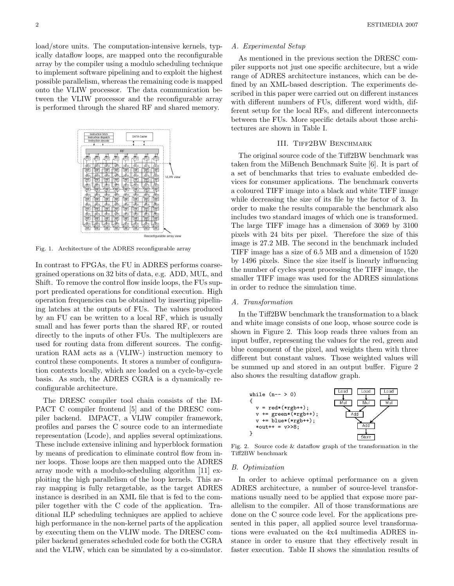load/store units. The computation-intensive kernels, typically dataflow loops, are mapped onto the reconfigurable array by the compiler using a modulo scheduling technique to implement software pipelining and to exploit the highest possible parallelism, whereas the remaining code is mapped onto the VLIW processor. The data communication between the VLIW processor and the reconfigurable array is performed through the shared RF and shared memory.



Fig. 1. Architecture of the ADRES reconfigurable array

In contrast to FPGAs, the FU in ADRES performs coarsegrained operations on 32 bits of data, e.g. ADD, MUL, and Shift. To remove the control flow inside loops, the FUs support predicated operations for conditional execution. High operation frequencies can be obtained by inserting pipelining latches at the outputs of FUs. The values produced by an FU can be written to a local RF, which is usually small and has fewer ports than the shared RF, or routed directly to the inputs of other FUs. The multiplexers are used for routing data from different sources. The configuration RAM acts as a (VLIW-) instruction memory to control these components. It stores a number of configuration contexts locally, which are loaded on a cycle-by-cycle basis. As such, the ADRES CGRA is a dynamically reconfigurable architecture.

The DRESC compiler tool chain consists of the IM-PACT C compiler frontend [5] and of the DRESC compiler backend. IMPACT, a VLIW compiler framework, profiles and parses the C source code to an intermediate representation (Lcode), and applies several optimizations. These include extensive inlining and hyperblock formation by means of predication to eliminate control flow from inner loops. Those loops are then mapped onto the ADRES array mode with a modulo-scheduling algorithm [11] exploiting the high parallelism of the loop kernels. This array mapping is fully retargetable, as the target ADRES instance is desribed in an XML file that is fed to the compiler together with the C code of the application. Traditional ILP scheduling techniques are applied to achieve high performance in the non-kernel parts of the application by executing them on the VLIW mode. The DRESC compiler backend generates scheduled code for both the CGRA and the VLIW, which can be simulated by a co-simulator.

#### A. Experimental Setup

As mentioned in the previous section the DRESC compiler supports not just one specific architecure, but a wide range of ADRES architecture instances, which can be defined by an XML-based description. The experiments described in this paper were carried out on different instances with different numbers of FUs, different word width, different setup for the local RFs, and different interconnects between the FUs. More specific details about those architectures are shown in Table I.

# III. Tiff2BW Benchmark

The original source code of the Tiff2BW benchmark was taken from the MiBench Benchmark Suite [6]. It is part of a set of benchmarks that tries to evaluate embedded devices for consumer applications. The benchmark converts a coloured TIFF image into a black and white TIFF image while decreasing the size of its file by the factor of 3. In order to make the results comparable the benchmark also includes two standard images of which one is transformed. The large TIFF image has a dimension of 3069 by 3100 pixels with 24 bits per pixel. Therefore the size of this image is 27.2 MB. The second in the benchmark included TIFF image has a size of 6.5 MB and a dimension of 1520 by 1496 pixels. Since the size itself is linearly influencing the number of cycles spent processing the TIFF image, the smaller TIFF image was used for the ADRES simulations in order to reduce the simulation time.

#### A. Transformation

In the Tiff2BW benchmark the transformation to a black and white image consists of one loop, whose source code is shown in Figure 2. This loop reads three values from an input buffer, representing the values for the red, green and blue component of the pixel, and weights them with three different but constant values. Those weighted values will be summed up and stored in an output buffer. Figure 2 also shows the resulting dataflow graph.



Fig. 2. Source code & dataflow graph of the transformation in the Tiff2BW benchmark

#### B. Optimization

In order to achieve optimal performance on a given ADRES architecture, a number of source-level transformations usually need to be applied that expose more parallelism to the compiler. All of those transformations are done on the C source code level. For the applications presented in this paper, all applied source level transformations were evaluated on the 4x4 multimedia ADRES instance in order to ensure that they effectively result in faster execution. Table II shows the simulation results of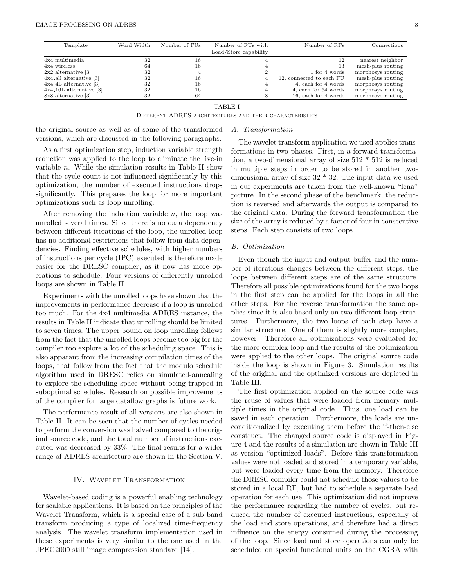| Template                              | Word Width | Number of FUs | Number of FUs with    | Number of RFs            | Connections       |
|---------------------------------------|------------|---------------|-----------------------|--------------------------|-------------------|
|                                       |            |               | Load/Store capability |                          |                   |
| $4x4$ multimedia                      | 32         | 16            |                       | 12                       | nearest neighbor  |
| 4x4 wireless                          | 64         | 16            |                       | 13                       | mesh-plus routing |
| $2x2$ alternative [3]                 | 32         |               |                       | 1 for 4 words            | morphosys routing |
| $4x4$ <sub>-all</sub> alternative [3] | 32         | 16            |                       | 12, connected to each FU | mesh-plus routing |
| $4x4.4L$ alternative [3]              | 32         | 16            |                       | 4, each for 4 words      | morphosys routing |
| $4x4.16L$ alternative [3]             | 32         | 16            |                       | 4, each for 64 words     | morphosys routing |
| 8x8 alternative [3]                   | 32         | 64            |                       | 16, each for 4 words     | morphosys routing |
|                                       |            |               |                       |                          |                   |

# TABLE I

Different ADRES architectures and their characteristics

the original source as well as of some of the transformed versions, which are discussed in the following paragraphs.

As a first optimization step, induction variable strength reduction was applied to the loop to eliminate the live-in variable n. While the simulation results in Table II show that the cycle count is not influenced significantly by this optimization, the number of executed instructions drops significantly. This prepares the loop for more important optimizations such as loop unrolling.

After removing the induction variable  $n$ , the loop was unrolled several times. Since there is no data dependency between different iterations of the loop, the unrolled loop has no additional restrictions that follow from data dependencies. Finding effective schedules, with higher numbers of instructions per cycle (IPC) executed is therefore made easier for the DRESC compiler, as it now has more operations to schedule. Four versions of differently unrolled loops are shown in Table II.

Experiments with the unrolled loops have shown that the improvements in performance decrease if a loop is unrolled too much. For the 4x4 multimedia ADRES instance, the results in Table II indicate that unrolling should be limited to seven times. The upper bound on loop unrolling follows from the fact that the unrolled loops become too big for the compiler too explore a lot of the scheduling space. This is also apparant from the increasing compilation times of the loops, that follow from the fact that the modulo schedule algorithm used in DRESC relies on simulated-annealing to explore the scheduling space without being trapped in suboptimal schedules. Research on possible improvements of the compiler for large dataflow graphs is future work.

The performance result of all versions are also shown in Table II. It can be seen that the number of cycles needed to perform the conversion was halved compared to the original source code, and the total number of instructions executed was decreased by 33%. The final results for a wider range of ADRES architecture are shown in the Section V.

# IV. Wavelet Transformation

Wavelet-based coding is a powerful enabling technology for scalable applications. It is based on the principles of the Wavelet Transform, which is a special case of a sub band transform producing a type of localized time-frequency analysis. The wavelet transform implementation used in these experiments is very similar to the one used in the JPEG2000 still image compression standard [14].

# The wavelet transform application we used applies transformations in two phases. First, in a forward transformation, a two-dimensional array of size 512 \* 512 is reduced in multiple steps in order to be stored in another twodimensional array of size 32 \* 32. The input data we used in our experiments are taken from the well-known "lena" picture. In the second phase of the benchmark, the reduction is reversed and afterwards the output is compared to the original data. During the forward transformation the size of the array is reduced by a factor of four in consecutive steps. Each step consists of two loops.

#### B. Optimization

A. Transformation

Even though the input and output buffer and the number of iterations changes between the different steps, the loops between different steps are of the same structure. Therefore all possible optimizations found for the two loops in the first step can be applied for the loops in all the other steps. For the reverse transformation the same applies since it is also based only on two different loop structures. Furthermore, the two loops of each step have a similar structure. One of them is slightly more complex, however. Therefore all optimizations were evaluated for the more complex loop and the results of the optimization were applied to the other loops. The original source code inside the loop is shown in Figure 3. Simulation results of the original and the optimized versions are depicted in Table III.

The first optimization applied on the source code was the reuse of values that were loaded from memory multiple times in the original code. Thus, one load can be saved in each operation. Furthermore, the loads are unconditionalized by executing them before the if-then-else construct. The changed source code is displayed in Figure 4 and the results of a simulation are shown in Table III as version "optimized loads". Before this transformation values were not loaded and stored in a temporary variable, but were loaded every time from the memory. Therefore the DRESC compiler could not schedule those values to be stored in a local RF, but had to schedule a separate load operation for each use. This optimization did not improve the performance regarding the number of cycles, but reduced the number of executed instructions, especially of the load and store operations, and therefore had a direct influence on the energy consumed during the processing of the loop. Since load and store operations can only be scheduled on special functional units on the CGRA with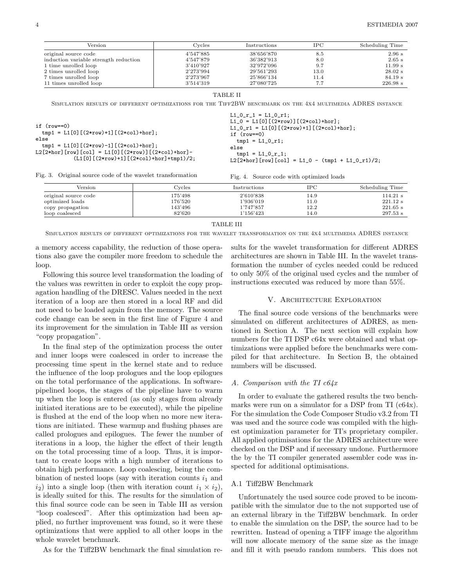| Version                               | Cycles    | Instructions | IPC  | Scheduling Time |
|---------------------------------------|-----------|--------------|------|-----------------|
| original source code                  | 4'547'885 | 38'656'870   | 8.5  | 2.96 s          |
| induction variable strength reduction | 4'547'879 | 36'382'913   | 8.0  | $2.65$ s        |
| 1 time unrolled loop                  | 3'410'927 | 32'972'096   | 9.7  | 11.99 s         |
| 2 times unrolled loop                 | 2'273'994 | 29'561'293   | 13.0 | $28.02$ s       |
| 7 times unrolled loop                 | 2'273'967 | 25'866'134   | 11.4 | 84.19 s         |
| 11 times unrolled loop                | 3'514'319 | 27'080'725   | 7.7  | 226.98 s        |

TABLE II

SIMULATION RESULTS OF DIFFERENT OPTIMIZATIONS FOR THE TIFF2BW BENCHMARK ON THE 4X4 MULTIMEDIA ADRES INSTANCE

| if (row==0)<br>$tmp1 = L1[0] [(2*row)+1] [(2*col)+hor];$<br>else<br>$tmp1 = L1[0] [(2*row)-1] [(2*col)+hor];$<br>L2[2*hor][row][col] = L1[0][(2*row)][(2*col)+hor]- | $L1_0_r_1 = L1_0_r;$<br>L1_0 = L1[0][(2*row)][(2*col)+hor];<br>L1_0_r1 = L1[0] $[(2*row)+1]$ $[(2*col)+hor]$ ;<br>if $(row==0)$<br>$tmp1 = L1_0_r1;$<br>else<br>$tmp1 = L1_0_r_1;$ |
|---------------------------------------------------------------------------------------------------------------------------------------------------------------------|------------------------------------------------------------------------------------------------------------------------------------------------------------------------------------|
| $(L1[0] [(2*row)+1] [(2*col)+hor] +tmp1)/2;$                                                                                                                        | L2[2*hor][row][col] = L1_0 - $(tmp1 + L1_0_r1)/2$ ;                                                                                                                                |

Fig. 3. Original source code of the wavelet transformation

Fig. 4. Source code with optimized loads

| Version              | Cvcles  | Instructions | IPC  | Scheduling Time |
|----------------------|---------|--------------|------|-----------------|
| original source code | 175'498 | 2'610'838    | 14.9 | 114.21 s        |
| optimized loads      | 176'520 | 1'936'019    | 11.0 | 221.12 s        |
| copy propagation     | 143'496 | 1'747'857    | 12.2 | $221.65$ s      |
| loop coalesced       | 82'620  | 1'156'423    | 14.0 | 297.53 s        |

#### TABLE III

Simulation results of different optimizations for the wavelet transformation on the 4x4 multimedia ADRES instance

a memory access capability, the reduction of those operations also gave the compiler more freedom to schedule the loop.

Following this source level transformation the loading of the values was rewritten in order to exploit the copy propagation handling of the DRESC. Values needed in the next iteration of a loop are then stored in a local RF and did not need to be loaded again from the memory. The source code change can be seen in the first line of Figure 4 and its improvement for the simulation in Table III as version "copy propagation".

In the final step of the optimization process the outer and inner loops were coalesced in order to increase the processing time spent in the kernel state and to reduce the influence of the loop prologues and the loop epilogues on the total performance of the applications. In softwarepipelined loops, the stages of the pipeline have to warm up when the loop is entered (as only stages from already initiated iterations are to be executed), while the pipeline is flushed at the end of the loop when no more new iterations are initiated. These warmup and flushing phases are called prologues and epilogues. The fewer the number of iterations in a loop, the higher the effect of their length on the total processing time of a loop. Thus, it is important to create loops with a high number of iterations to obtain high performance. Loop coalescing, being the combination of nested loops (say with iteration counts  $i_1$  and  $i_2$ ) into a single loop (then with iteration count  $i_1 \times i_2$ ), is ideally suited for this. The results for the simulation of this final source code can be seen in Table III as version "loop coalesced". After this optimization had been applied, no further improvement was found, so it were these optimizations that were applied to all other loops in the whole wavelet benchmark.

As for the Tiff2BW benchmark the final simulation re-

sults for the wavelet transformation for different ADRES architectures are shown in Table III. In the wavelet transformation the number of cycles needed could be reduced to only 50% of the original used cycles and the number of instructions executed was reduced by more than 55%.

#### V. Architecture Exploration

The final source code versions of the benchmarks were simulated on different architectures of ADRES, as mentioned in Section A. The next section will explain how numbers for the TI DSP c64x were obtained and what optimizations were applied before the benchmarks were compiled for that architecture. In Section B, the obtained numbers will be discussed.

#### A. Comparison with the TI c64x

In order to evaluate the gathered results the two benchmarks were run on a simulator for a DSP from TI (c64x). For the simulation the Code Composer Studio v3.2 from TI was used and the source code was compiled with the highest optimization parameter for TI's proprietary compiler. All applied optimisations for the ADRES architecture were checked on the DSP and if necessary undone. Furthermore the by the TI compiler generated assembler code was inspected for additional optimisations.

#### A.1 Tiff2BW Benchmark

Unfortunately the used source code proved to be incompatible with the simulator due to the not supported use of an external library in the Tiff2BW benchmark. In order to enable the simulation on the DSP, the source had to be rewritten. Instead of opening a TIFF image the algorithm will now allocate memory of the same size as the image and fill it with pseudo random numbers. This does not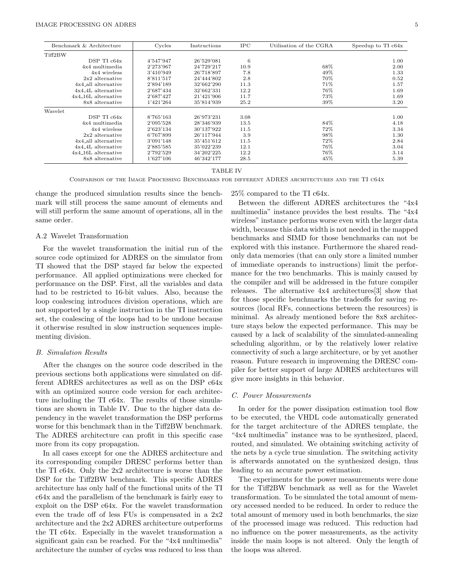| Benchmark & Architecture | Cycles    | Instructions | <b>IPC</b> | Utilisation of the CGRA | Speedup to TI c64x |
|--------------------------|-----------|--------------|------------|-------------------------|--------------------|
| Tiff2BW                  |           |              |            |                         |                    |
| $DSP$ TI $c64x$          | 4'547'947 | 26'529'081   | 6          |                         | 1.00               |
| $4x4$ multimedia         | 2'273'967 | 24'729'217   | 10.9       | 68%                     | 2.00               |
| 4x4 wireless             | 3'410'949 | 26'718'897   | 7.8        | 49%                     | 1.33               |
| $2x2$ alternative        | 8'811'517 | 24'444'802   | 2.8        | 70%                     | 0.52               |
| 4x4_all alternative      | 2'894'189 | 32'662'290   | 11.3       | 71%                     | 1.57               |
| $4x4$ 4L alternative     | 2'687'434 | 32'662'331   | 12.2       | 76%                     | 1.69               |
| $4x4.16L$ alternative    | 2'687'427 | 21'421'906   | 11.7       | 73%                     | 1.69               |
| 8x8 alternative          | 1'421'264 | 35'814'939   | 25.2       | 39%                     | 3.20               |
| Wavelet                  |           |              |            |                         |                    |
| DSP TI c64x              | 8'765'163 | 26'973'231   | 3.08       |                         | 1.00               |
| 4x4 multimedia           | 2'095'528 | 28'346'939   | 13.5       | 84%                     | 4.18               |
| 4x4 wireless             | 2'623'134 | 30'137'922   | 11.5       | 72%                     | 3.34               |
| $2x2$ alternative        | 6'767'899 | 26'117'944   | 3.9        | 98%                     | 1.30               |
| 4x4_all alternative      | 3'091'148 | 35'451'612   | 11.5       | 72%                     | 2.84               |
| $4x4.4L$ alternative     | 2'885'585 | 35'022'239   | 12.1       | 76%                     | 3.04               |
| $4x4.16L$ alternative    | 2'792'529 | 34'202'225   | 12.2       | 76%                     | 3.14               |
| 8x8 alternative          | 1'627'106 | 46'342'177   | 28.5       | 45%                     | 5.39               |

TABLE IV

Comparison of the Image Processing Benchmarks for different ADRES architectures and the TI c64x

change the produced simulation results since the benchmark will still process the same amount of elements and will still perform the same amount of operations, all in the same order.

## A.2 Wavelet Transformation

For the wavelet transformation the initial run of the source code optimized for ADRES on the simulator from TI showed that the DSP stayed far below the expected performance. All applied optimizations were checked for performance on the DSP. First, all the variables and data had to be restricted to 16-bit values. Also, because the loop coalescing introduces division operations, which are not supported by a single instruction in the TI instruction set, the coalescing of the loops had to be undone because it otherwise resulted in slow instruction sequences implementing division.

## B. Simulation Results

After the changes on the source code described in the previous sections both applications were simulated on different ADRES architectures as well as on the DSP c64x with an optimized source code version for each architecture including the TI c64x. The results of those simulations are shown in Table IV. Due to the higher data dependency in the wavelet transformation the DSP performs worse for this benchmark than in the Tiff2BW benchmark. The ADRES architecture can profit in this specific case more from its copy propagation.

In all cases except for one the ADRES architecture and its corresponding compiler DRESC performs better than the TI c64x. Only the 2x2 architecture is worse than the DSP for the Tiff2BW benchmark. This specific ADRES architecture has only half of the functional units of the TI c64x and the parallelism of the benchmark is fairly easy to exploit on the DSP c64x. For the wavelet transformation even the trade off of less FUs is compensated in a 2x2 architecture and the 2x2 ADRES architecture outperforms the TI c64x. Especially in the wavelet transformation a significant gain can be reached. For the "4x4 multimedia" architecture the number of cycles was reduced to less than

Between the different ADRES architectures the "4x4 multimedia" instance provides the best results. The "4x4 wireless" instance performs worse even with the larger data width, because this data width is not needed in the mapped benchmarks and SIMD for those benchmarks can not be explored with this instance. Furthermore the shared readonly data memories (that can only store a limited number of immediate operands to instructions) limit the performance for the two benchmarks. This is mainly caused by the compiler and will be addressed in the future compiler releases. The alternative 4x4 architectures[3] show that for those specific benchmarks the tradeoffs for saving resources (local RFs, connections between the resources) is minimal. As already mentioned before the 8x8 architecture stays below the expected performance. This may be caused by a lack of scalability of the simulated-annealing scheduling algorithm, or by the relatively lower relative connectivity of such a large architecture, or by yet another reason. Future research in improveming the DRESC compiler for better support of large ADRES architectures will give more insights in this behavior.

### C. Power Measurements

25% compared to the TI c64x.

In order for the power dissipation estimation tool flow to be executed, the VHDL code automatically generated for the target architecture of the ADRES template, the "4x4 multimedia" instance was to be synthesized, placed, routed, and simulated. We obtaining switching activity of the nets by a cycle true simulation. The switching activity is afterwards annotated on the synthesized design, thus leading to an accurate power estimation.

The experiments for the power measurements were done for the Tiff2BW benchmark as well as for the Wavelet transformation. To be simulated the total amount of memory accessed needed to be reduced. In order to reduce the total amount of memory used in both benchmarks, the size of the processed image was reduced. This reduction had no influence on the power measurements, as the activity inside the main loops is not altered. Only the length of the loops was altered.